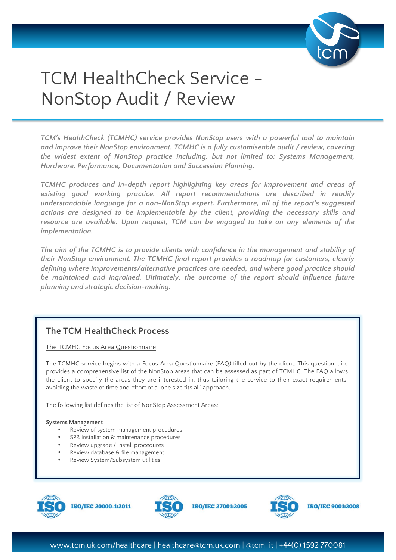

# TCM HealthCheck Service - NonStop Audit / Review

*TCM's HealthCheck (TCMHC) service provides NonStop users with a powerful tool to maintain and improve their NonStop environment. TCMHC is a fully customiseable audit / review, covering the widest extent of NonStop practice including, but not limited to: Systems Management, Hardware, Performance, Documentation and Succession Planning.*

*TCMHC produces and in-depth report highlighting key areas for improvement and areas of existing good working practice. All report recommendations are described in readily understandable language for a non-NonStop expert. Furthermore, all of the report's suggested actions are designed to be implementable by the client, providing the necessary skills and resource are available. Upon request, TCM can be engaged to take on any elements of the implementation.* 

*The aim of the TCMHC is to provide clients with confidence in the management and stability of their NonStop environment. The TCMHC final report provides a roadmap for customers, clearly defining where improvements/alternative practices are needed, and where good practice should be maintained and ingrained. Ultimately, the outcome of the report should influence future planning and strategic decision-making.*

# **The TCM HealthCheck Process**

The TCMHC Focus Area Questionnaire

The TCMHC service begins with a Focus Area Questionnaire (FAQ) filled out by the client. This questionnaire provides a comprehensive list of the NonStop areas that can be assessed as part of TCMHC. The FAQ allows the client to specify the areas they are interested in, thus tailoring the service to their exact requirements, avoiding the waste of time and effort of a 'one size fits all' approach.

The following list defines the list of NonStop Assessment Areas:

# **Systems Management**

- Review of system management procedures
- SPR installation & maintenance procedures
- Review upgrade / Install procedures
- Review database & file management
- Review System/Subsystem utilities



**ISO/IEC 20000-1:2011** 





**ISO/IEC 9001:2008** 

**ISO/IEC 27001:2005**